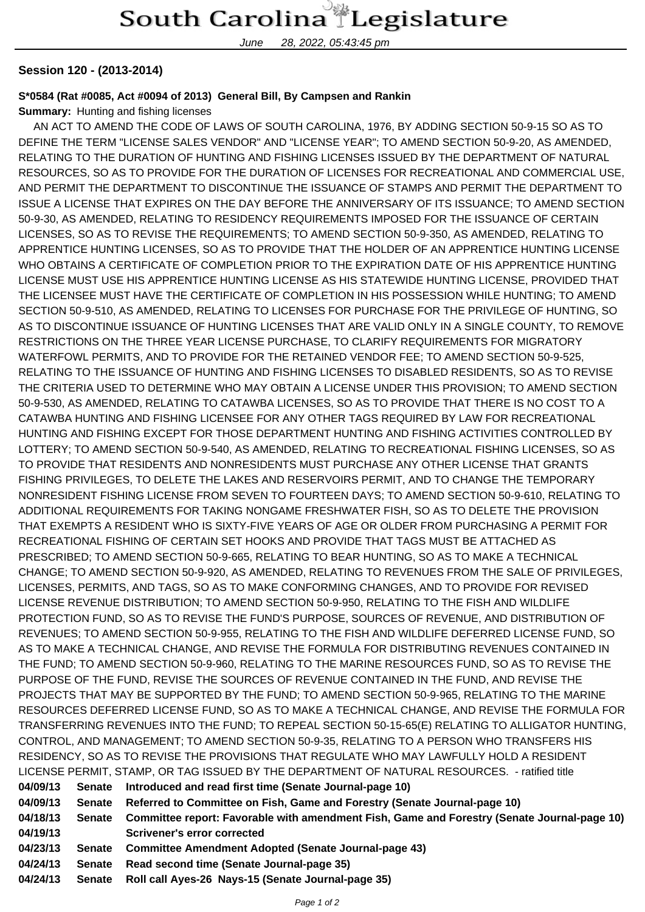## South Carolina Legislature

June 28, 2022, 05:43:45 pm

## **Session 120 - (2013-2014)**

## **S\*0584 (Rat #0085, Act #0094 of 2013) General Bill, By Campsen and Rankin**

**Summary:** Hunting and fishing licenses

 AN ACT TO AMEND THE CODE OF LAWS OF SOUTH CAROLINA, 1976, BY ADDING SECTION 50-9-15 SO AS TO DEFINE THE TERM "LICENSE SALES VENDOR" AND "LICENSE YEAR"; TO AMEND SECTION 50-9-20, AS AMENDED, RELATING TO THE DURATION OF HUNTING AND FISHING LICENSES ISSUED BY THE DEPARTMENT OF NATURAL RESOURCES, SO AS TO PROVIDE FOR THE DURATION OF LICENSES FOR RECREATIONAL AND COMMERCIAL USE, AND PERMIT THE DEPARTMENT TO DISCONTINUE THE ISSUANCE OF STAMPS AND PERMIT THE DEPARTMENT TO ISSUE A LICENSE THAT EXPIRES ON THE DAY BEFORE THE ANNIVERSARY OF ITS ISSUANCE; TO AMEND SECTION 50-9-30, AS AMENDED, RELATING TO RESIDENCY REQUIREMENTS IMPOSED FOR THE ISSUANCE OF CERTAIN LICENSES, SO AS TO REVISE THE REQUIREMENTS; TO AMEND SECTION 50-9-350, AS AMENDED, RELATING TO APPRENTICE HUNTING LICENSES, SO AS TO PROVIDE THAT THE HOLDER OF AN APPRENTICE HUNTING LICENSE WHO OBTAINS A CERTIFICATE OF COMPLETION PRIOR TO THE EXPIRATION DATE OF HIS APPRENTICE HUNTING LICENSE MUST USE HIS APPRENTICE HUNTING LICENSE AS HIS STATEWIDE HUNTING LICENSE, PROVIDED THAT THE LICENSEE MUST HAVE THE CERTIFICATE OF COMPLETION IN HIS POSSESSION WHILE HUNTING; TO AMEND SECTION 50-9-510, AS AMENDED, RELATING TO LICENSES FOR PURCHASE FOR THE PRIVILEGE OF HUNTING, SO AS TO DISCONTINUE ISSUANCE OF HUNTING LICENSES THAT ARE VALID ONLY IN A SINGLE COUNTY, TO REMOVE RESTRICTIONS ON THE THREE YEAR LICENSE PURCHASE, TO CLARIFY REQUIREMENTS FOR MIGRATORY WATERFOWL PERMITS, AND TO PROVIDE FOR THE RETAINED VENDOR FEE; TO AMEND SECTION 50-9-525, RELATING TO THE ISSUANCE OF HUNTING AND FISHING LICENSES TO DISABLED RESIDENTS, SO AS TO REVISE THE CRITERIA USED TO DETERMINE WHO MAY OBTAIN A LICENSE UNDER THIS PROVISION; TO AMEND SECTION 50-9-530, AS AMENDED, RELATING TO CATAWBA LICENSES, SO AS TO PROVIDE THAT THERE IS NO COST TO A CATAWBA HUNTING AND FISHING LICENSEE FOR ANY OTHER TAGS REQUIRED BY LAW FOR RECREATIONAL HUNTING AND FISHING EXCEPT FOR THOSE DEPARTMENT HUNTING AND FISHING ACTIVITIES CONTROLLED BY LOTTERY; TO AMEND SECTION 50-9-540, AS AMENDED, RELATING TO RECREATIONAL FISHING LICENSES, SO AS TO PROVIDE THAT RESIDENTS AND NONRESIDENTS MUST PURCHASE ANY OTHER LICENSE THAT GRANTS FISHING PRIVILEGES, TO DELETE THE LAKES AND RESERVOIRS PERMIT, AND TO CHANGE THE TEMPORARY NONRESIDENT FISHING LICENSE FROM SEVEN TO FOURTEEN DAYS; TO AMEND SECTION 50-9-610, RELATING TO ADDITIONAL REQUIREMENTS FOR TAKING NONGAME FRESHWATER FISH, SO AS TO DELETE THE PROVISION THAT EXEMPTS A RESIDENT WHO IS SIXTY-FIVE YEARS OF AGE OR OLDER FROM PURCHASING A PERMIT FOR RECREATIONAL FISHING OF CERTAIN SET HOOKS AND PROVIDE THAT TAGS MUST BE ATTACHED AS PRESCRIBED; TO AMEND SECTION 50-9-665, RELATING TO BEAR HUNTING, SO AS TO MAKE A TECHNICAL CHANGE; TO AMEND SECTION 50-9-920, AS AMENDED, RELATING TO REVENUES FROM THE SALE OF PRIVILEGES, LICENSES, PERMITS, AND TAGS, SO AS TO MAKE CONFORMING CHANGES, AND TO PROVIDE FOR REVISED LICENSE REVENUE DISTRIBUTION; TO AMEND SECTION 50-9-950, RELATING TO THE FISH AND WILDLIFE PROTECTION FUND, SO AS TO REVISE THE FUND'S PURPOSE, SOURCES OF REVENUE, AND DISTRIBUTION OF REVENUES; TO AMEND SECTION 50-9-955, RELATING TO THE FISH AND WILDLIFE DEFERRED LICENSE FUND, SO AS TO MAKE A TECHNICAL CHANGE, AND REVISE THE FORMULA FOR DISTRIBUTING REVENUES CONTAINED IN THE FUND; TO AMEND SECTION 50-9-960, RELATING TO THE MARINE RESOURCES FUND, SO AS TO REVISE THE PURPOSE OF THE FUND, REVISE THE SOURCES OF REVENUE CONTAINED IN THE FUND, AND REVISE THE PROJECTS THAT MAY BE SUPPORTED BY THE FUND; TO AMEND SECTION 50-9-965, RELATING TO THE MARINE RESOURCES DEFERRED LICENSE FUND, SO AS TO MAKE A TECHNICAL CHANGE, AND REVISE THE FORMULA FOR TRANSFERRING REVENUES INTO THE FUND; TO REPEAL SECTION 50-15-65(E) RELATING TO ALLIGATOR HUNTING, CONTROL, AND MANAGEMENT; TO AMEND SECTION 50-9-35, RELATING TO A PERSON WHO TRANSFERS HIS RESIDENCY, SO AS TO REVISE THE PROVISIONS THAT REGULATE WHO MAY LAWFULLY HOLD A RESIDENT LICENSE PERMIT, STAMP, OR TAG ISSUED BY THE DEPARTMENT OF NATURAL RESOURCES. - ratified title

- **04/09/13 Senate Introduced and read first time (Senate Journal-page 10)**
- **04/09/13 Senate Referred to Committee on Fish, Game and Forestry (Senate Journal-page 10)**
- **04/18/13 Senate Committee report: Favorable with amendment Fish, Game and Forestry (Senate Journal-page 10) 04/19/13 Scrivener's error corrected**
- **04/23/13 Senate Committee Amendment Adopted (Senate Journal-page 43)**
- **04/24/13 Senate Read second time (Senate Journal-page 35)**
- **04/24/13 Senate Roll call Ayes-26 Nays-15 (Senate Journal-page 35)**